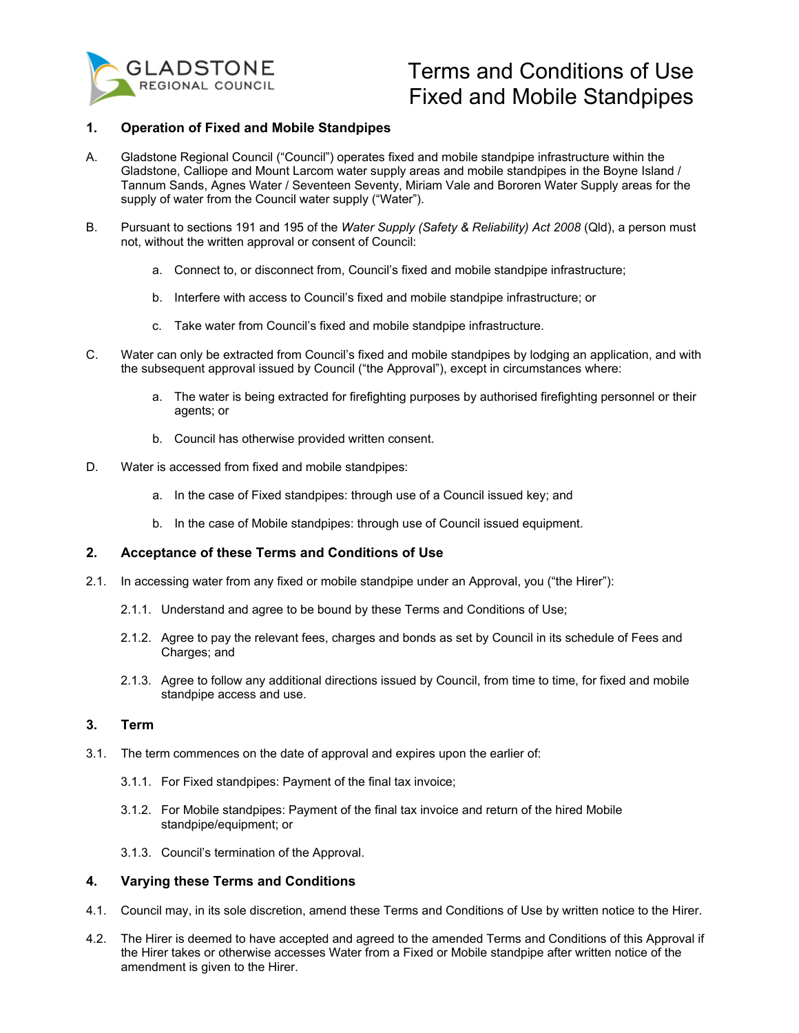

# Terms and Conditions of Use Fixed and Mobile Standpipes

# **1. Operation of Fixed and Mobile Standpipes**

- A. Gladstone Regional Council ("Council") operates fixed and mobile standpipe infrastructure within the Gladstone, Calliope and Mount Larcom water supply areas and mobile standpipes in the Boyne Island / Tannum Sands, Agnes Water / Seventeen Seventy, Miriam Vale and Bororen Water Supply areas for the supply of water from the Council water supply ("Water").
- B. Pursuant to sections 191 and 195 of the *Water Supply (Safety & Reliability) Act 2008* (Qld), a person must not, without the written approval or consent of Council:
	- a. Connect to, or disconnect from, Council's fixed and mobile standpipe infrastructure;
	- b. Interfere with access to Council's fixed and mobile standpipe infrastructure; or
	- c. Take water from Council's fixed and mobile standpipe infrastructure.
- C. Water can only be extracted from Council's fixed and mobile standpipes by lodging an application, and with the subsequent approval issued by Council ("the Approval"), except in circumstances where:
	- a. The water is being extracted for firefighting purposes by authorised firefighting personnel or their agents; or
	- b. Council has otherwise provided written consent.
- D. Water is accessed from fixed and mobile standpipes:
	- a. In the case of Fixed standpipes: through use of a Council issued key; and
	- b. In the case of Mobile standpipes: through use of Council issued equipment.

# **2. Acceptance of these Terms and Conditions of Use**

- 2.1. In accessing water from any fixed or mobile standpipe under an Approval, you ("the Hirer"):
	- 2.1.1. Understand and agree to be bound by these Terms and Conditions of Use;
	- 2.1.2. Agree to pay the relevant fees, charges and bonds as set by Council in its schedule of Fees and Charges; and
	- 2.1.3. Agree to follow any additional directions issued by Council, from time to time, for fixed and mobile standpipe access and use.

# **3. Term**

- 3.1. The term commences on the date of approval and expires upon the earlier of:
	- 3.1.1. For Fixed standpipes: Payment of the final tax invoice;
	- 3.1.2. For Mobile standpipes: Payment of the final tax invoice and return of the hired Mobile standpipe/equipment; or
	- 3.1.3. Council's termination of the Approval.

# **4. Varying these Terms and Conditions**

- 4.1. Council may, in its sole discretion, amend these Terms and Conditions of Use by written notice to the Hirer.
- 4.2. The Hirer is deemed to have accepted and agreed to the amended Terms and Conditions of this Approval if the Hirer takes or otherwise accesses Water from a Fixed or Mobile standpipe after written notice of the amendment is given to the Hirer.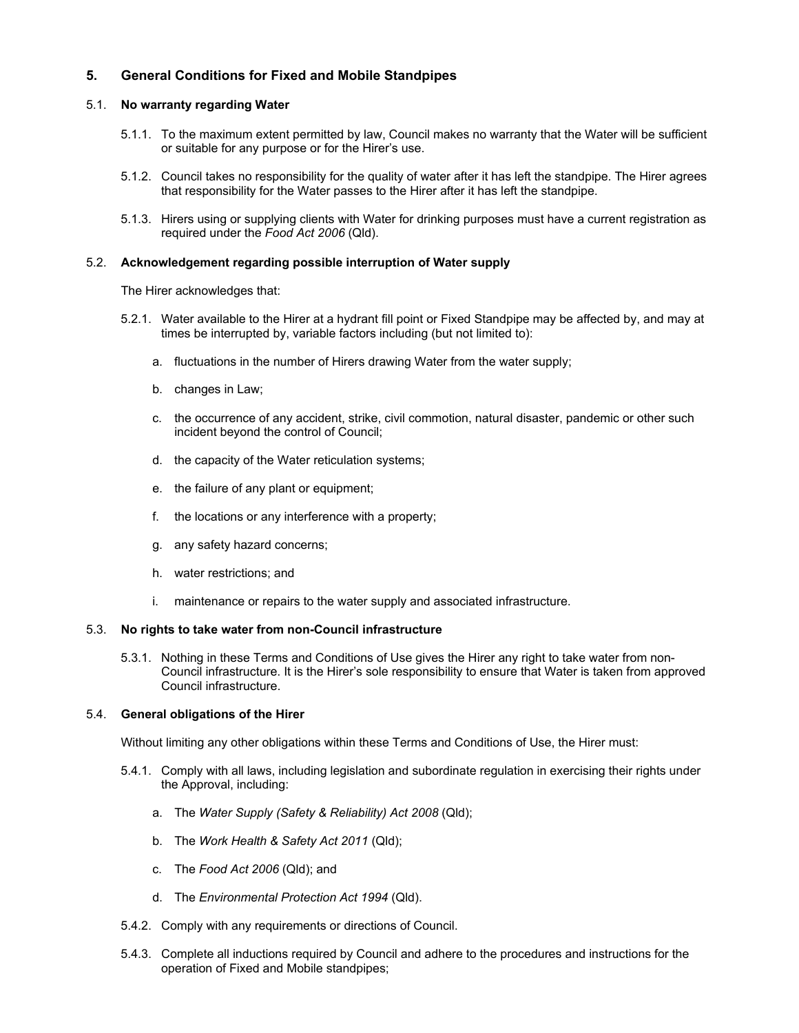# **5. General Conditions for Fixed and Mobile Standpipes**

## 5.1. **No warranty regarding Water**

- 5.1.1. To the maximum extent permitted by law, Council makes no warranty that the Water will be sufficient or suitable for any purpose or for the Hirer's use.
- 5.1.2. Council takes no responsibility for the quality of water after it has left the standpipe. The Hirer agrees that responsibility for the Water passes to the Hirer after it has left the standpipe.
- 5.1.3. Hirers using or supplying clients with Water for drinking purposes must have a current registration as required under the *Food Act 2006* (Qld).

## 5.2. **Acknowledgement regarding possible interruption of Water supply**

The Hirer acknowledges that:

- 5.2.1. Water available to the Hirer at a hydrant fill point or Fixed Standpipe may be affected by, and may at times be interrupted by, variable factors including (but not limited to):
	- a. fluctuations in the number of Hirers drawing Water from the water supply;
	- b. changes in Law;
	- c. the occurrence of any accident, strike, civil commotion, natural disaster, pandemic or other such incident beyond the control of Council;
	- d. the capacity of the Water reticulation systems;
	- e. the failure of any plant or equipment;
	- f. the locations or any interference with a property;
	- g. any safety hazard concerns;
	- h. water restrictions; and
	- i. maintenance or repairs to the water supply and associated infrastructure.

#### 5.3. **No rights to take water from non-Council infrastructure**

5.3.1. Nothing in these Terms and Conditions of Use gives the Hirer any right to take water from non-Council infrastructure. It is the Hirer's sole responsibility to ensure that Water is taken from approved Council infrastructure.

## 5.4. **General obligations of the Hirer**

Without limiting any other obligations within these Terms and Conditions of Use, the Hirer must:

- 5.4.1. Comply with all laws, including legislation and subordinate regulation in exercising their rights under the Approval, including:
	- a. The *Water Supply (Safety & Reliability) Act 2008* (Qld);
	- b. The *Work Health & Safety Act 2011* (Qld);
	- c. The *Food Act 2006* (Qld); and
	- d. The *Environmental Protection Act 1994* (Qld).
- 5.4.2. Comply with any requirements or directions of Council.
- 5.4.3. Complete all inductions required by Council and adhere to the procedures and instructions for the operation of Fixed and Mobile standpipes;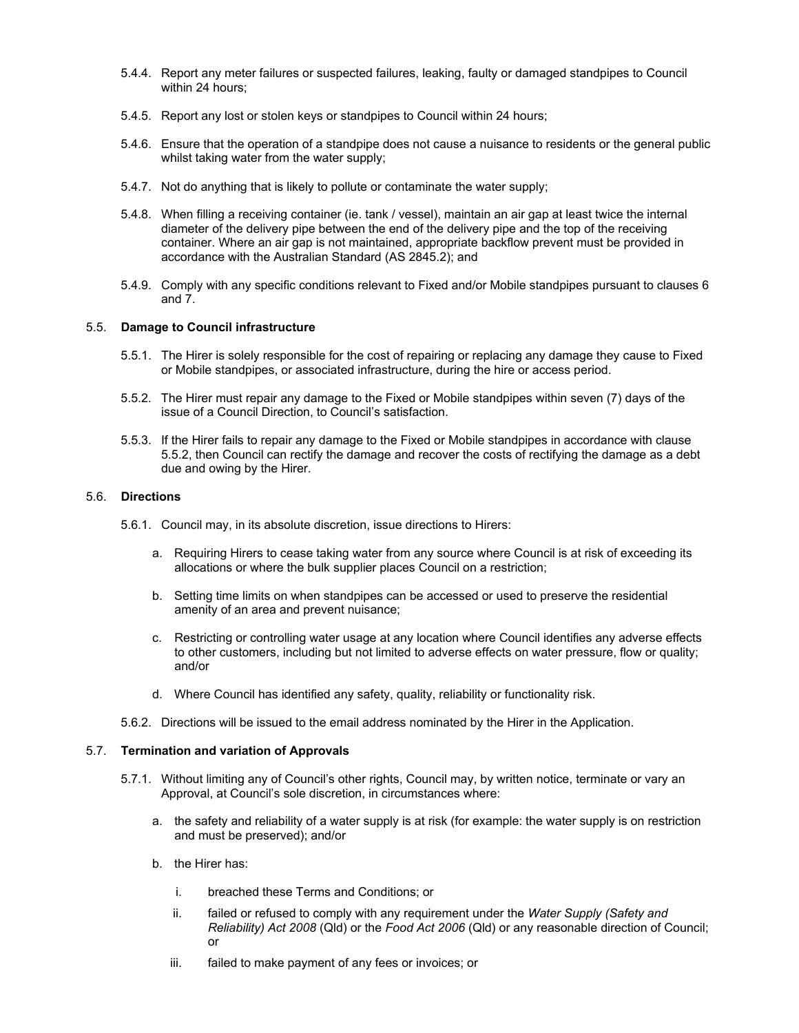- 5.4.4. Report any meter failures or suspected failures, leaking, faulty or damaged standpipes to Council within 24 hours;
- 5.4.5. Report any lost or stolen keys or standpipes to Council within 24 hours;
- 5.4.6. Ensure that the operation of a standpipe does not cause a nuisance to residents or the general public whilst taking water from the water supply;
- 5.4.7. Not do anything that is likely to pollute or contaminate the water supply;
- 5.4.8. When filling a receiving container (ie. tank / vessel), maintain an air gap at least twice the internal diameter of the delivery pipe between the end of the delivery pipe and the top of the receiving container. Where an air gap is not maintained, appropriate backflow prevent must be provided in accordance with the Australian Standard (AS 2845.2); and
- 5.4.9. Comply with any specific conditions relevant to Fixed and/or Mobile standpipes pursuant to clauses 6 and 7.

#### 5.5. **Damage to Council infrastructure**

- 5.5.1. The Hirer is solely responsible for the cost of repairing or replacing any damage they cause to Fixed or Mobile standpipes, or associated infrastructure, during the hire or access period.
- 5.5.2. The Hirer must repair any damage to the Fixed or Mobile standpipes within seven (7) days of the issue of a Council Direction, to Council's satisfaction.
- 5.5.3. If the Hirer fails to repair any damage to the Fixed or Mobile standpipes in accordance with clause 5.5.2, then Council can rectify the damage and recover the costs of rectifying the damage as a debt due and owing by the Hirer.

## 5.6. **Directions**

- 5.6.1. Council may, in its absolute discretion, issue directions to Hirers:
	- a. Requiring Hirers to cease taking water from any source where Council is at risk of exceeding its allocations or where the bulk supplier places Council on a restriction;
	- b. Setting time limits on when standpipes can be accessed or used to preserve the residential amenity of an area and prevent nuisance;
	- c. Restricting or controlling water usage at any location where Council identifies any adverse effects to other customers, including but not limited to adverse effects on water pressure, flow or quality; and/or
	- d. Where Council has identified any safety, quality, reliability or functionality risk.
- 5.6.2. Directions will be issued to the email address nominated by the Hirer in the Application.

#### 5.7. **Termination and variation of Approvals**

- 5.7.1. Without limiting any of Council's other rights, Council may, by written notice, terminate or vary an Approval, at Council's sole discretion, in circumstances where:
	- a. the safety and reliability of a water supply is at risk (for example: the water supply is on restriction and must be preserved); and/or
	- b. the Hirer has:
		- i. breached these Terms and Conditions; or
		- ii. failed or refused to comply with any requirement under the *Water Supply (Safety and Reliability) Act 2008* (Qld) or the *Food Act 2006* (Qld) or any reasonable direction of Council; or
		- iii. failed to make payment of any fees or invoices; or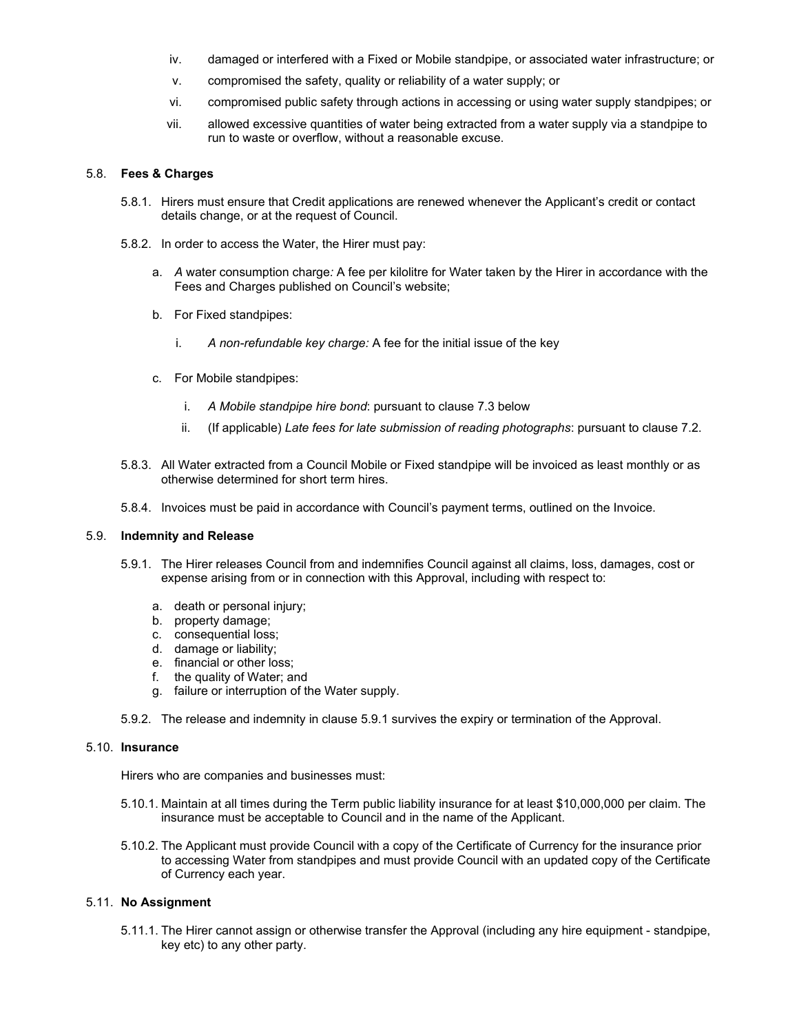- iv. damaged or interfered with a Fixed or Mobile standpipe, or associated water infrastructure; or
- v. compromised the safety, quality or reliability of a water supply; or
- vi. compromised public safety through actions in accessing or using water supply standpipes; or
- vii. allowed excessive quantities of water being extracted from a water supply via a standpipe to run to waste or overflow, without a reasonable excuse.

#### 5.8. **Fees & Charges**

- 5.8.1. Hirers must ensure that Credit applications are renewed whenever the Applicant's credit or contact details change, or at the request of Council.
- 5.8.2. In order to access the Water, the Hirer must pay:
	- a. *A* water consumption charge*:* A fee per kilolitre for Water taken by the Hirer in accordance with the Fees and Charges published on Council's website;
	- b. For Fixed standpipes:
		- i. *A non-refundable key charge:* A fee for the initial issue of the key
	- c. For Mobile standpipes:
		- i. *A Mobile standpipe hire bond*: pursuant to clause 7.3 below
		- ii. (If applicable) *Late fees for late submission of reading photographs*: pursuant to clause 7.2.
- 5.8.3. All Water extracted from a Council Mobile or Fixed standpipe will be invoiced as least monthly or as otherwise determined for short term hires.
- 5.8.4. Invoices must be paid in accordance with Council's payment terms, outlined on the Invoice.

#### 5.9. **Indemnity and Release**

- 5.9.1. The Hirer releases Council from and indemnifies Council against all claims, loss, damages, cost or expense arising from or in connection with this Approval, including with respect to:
	- a. death or personal injury;
	- b. property damage;
	- c. consequential loss;
	- d. damage or liability;
	- e. financial or other loss;
	- f. the quality of Water; and
	- g. failure or interruption of the Water supply.
- 5.9.2. The release and indemnity in clause 5.9.1 survives the expiry or termination of the Approval.

#### 5.10. **Insurance**

Hirers who are companies and businesses must:

- 5.10.1. Maintain at all times during the Term public liability insurance for at least \$10,000,000 per claim. The insurance must be acceptable to Council and in the name of the Applicant.
- 5.10.2. The Applicant must provide Council with a copy of the Certificate of Currency for the insurance prior to accessing Water from standpipes and must provide Council with an updated copy of the Certificate of Currency each year.

# 5.11. **No Assignment**

5.11.1. The Hirer cannot assign or otherwise transfer the Approval (including any hire equipment - standpipe, key etc) to any other party.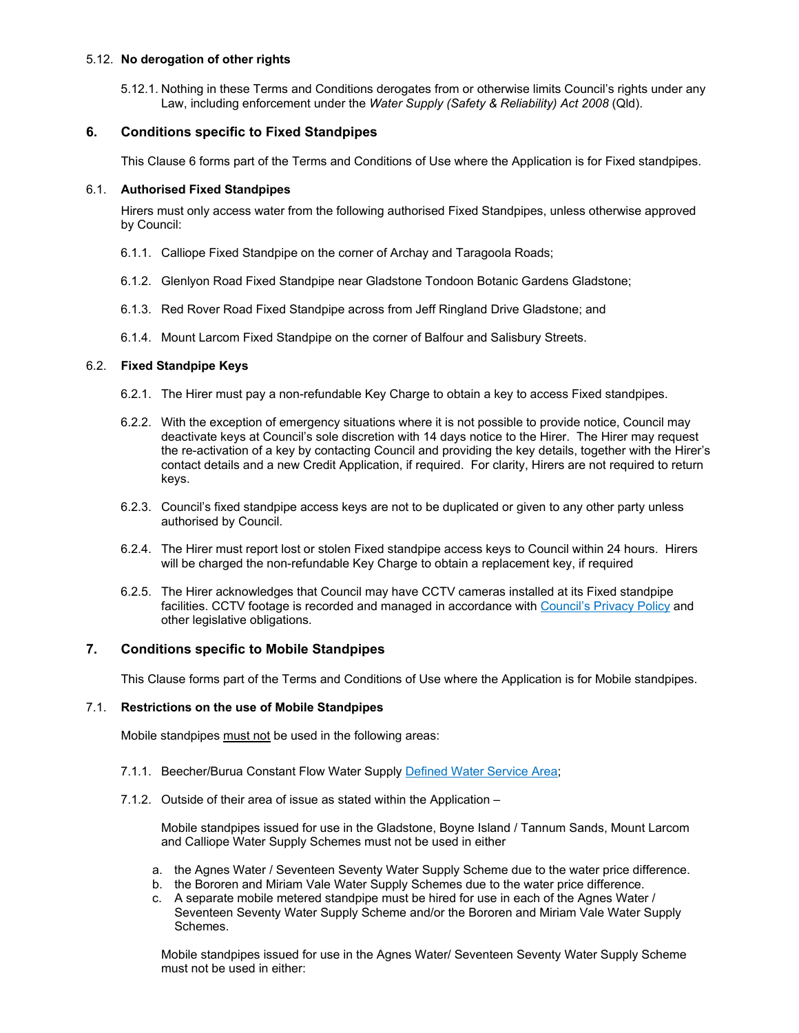# 5.12. **No derogation of other rights**

5.12.1. Nothing in these Terms and Conditions derogates from or otherwise limits Council's rights under any Law, including enforcement under the *Water Supply (Safety & Reliability) Act 2008* (Qld).

# **6. Conditions specific to Fixed Standpipes**

This Clause 6 forms part of the Terms and Conditions of Use where the Application is for Fixed standpipes.

# 6.1. **Authorised Fixed Standpipes**

Hirers must only access water from the following authorised Fixed Standpipes, unless otherwise approved by Council:

- 6.1.1. Calliope Fixed Standpipe on the corner of Archay and Taragoola Roads;
- 6.1.2. Glenlyon Road Fixed Standpipe near Gladstone Tondoon Botanic Gardens Gladstone;
- 6.1.3. Red Rover Road Fixed Standpipe across from Jeff Ringland Drive Gladstone; and
- 6.1.4. Mount Larcom Fixed Standpipe on the corner of Balfour and Salisbury Streets.

# 6.2. **Fixed Standpipe Keys**

- 6.2.1. The Hirer must pay a non-refundable Key Charge to obtain a key to access Fixed standpipes.
- 6.2.2. With the exception of emergency situations where it is not possible to provide notice, Council may deactivate keys at Council's sole discretion with 14 days notice to the Hirer. The Hirer may request the re-activation of a key by contacting Council and providing the key details, together with the Hirer's contact details and a new Credit Application, if required. For clarity, Hirers are not required to return keys.
- 6.2.3. Council's fixed standpipe access keys are not to be duplicated or given to any other party unless authorised by Council.
- 6.2.4. The Hirer must report lost or stolen Fixed standpipe access keys to Council within 24 hours. Hirers will be charged the non-refundable Key Charge to obtain a replacement key, if required
- 6.2.5. The Hirer acknowledges that Council may have CCTV cameras installed at its Fixed standpipe facilities. CCTV footage is recorded and managed in accordance with Council's Privacy Policy and other legislative obligations.

# **7. Conditions specific to Mobile Standpipes**

This Clause forms part of the Terms and Conditions of Use where the Application is for Mobile standpipes.

## 7.1. **Restrictions on the use of Mobile Standpipes**

Mobile standpipes must not be used in the following areas:

- 7.1.1. Beecher/Burua Constant Flow Water Supply Defined Water Service Area;
- 7.1.2. Outside of their area of issue as stated within the Application –

Mobile standpipes issued for use in the Gladstone, Boyne Island / Tannum Sands, Mount Larcom and Calliope Water Supply Schemes must not be used in either

- a. the Agnes Water / Seventeen Seventy Water Supply Scheme due to the water price difference.
- b. the Bororen and Miriam Vale Water Supply Schemes due to the water price difference.
- c. A separate mobile metered standpipe must be hired for use in each of the Agnes Water / Seventeen Seventy Water Supply Scheme and/or the Bororen and Miriam Vale Water Supply Schemes.

Mobile standpipes issued for use in the Agnes Water/ Seventeen Seventy Water Supply Scheme must not be used in either: